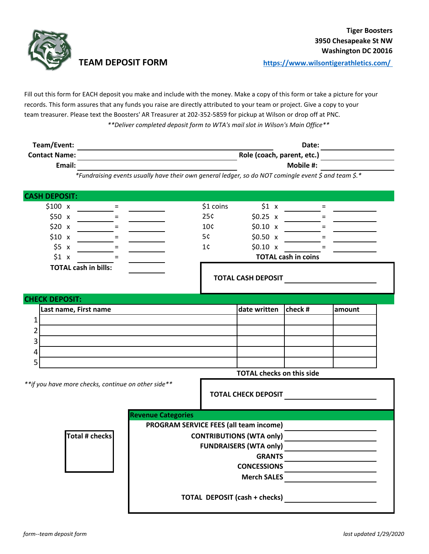

**TEAM DEPOSIT FORM [h](https://www.wilsontigerathletics.com/)ttps://www.wilsontigerathletics.com/** 

Fill out this form for EACH deposit you make and include with the money. Make a copy of this form or take a picture for your records. This form assures that any funds you raise are directly attributed to your team or project. Give a copy to your team treasurer. Please text the Boosters' AR Treasurer at 202-352-5859 for pickup at Wilson or drop off at PNC. *\*\*Deliver completed deposit form to WTA's mail slot in Wilson's Main Office\*\**

| Team/Event:          | Date:                      |  |
|----------------------|----------------------------|--|
| <b>Contact Name:</b> | Role (coach, parent, etc.) |  |
| Email:               | Mobile #:                  |  |

*\*Fundraising events usually have their own general ledger, so do NOT comingle event \$ and team \$.\**

| <b>CASH DEPOSIT:</b>                                 |                                        |                                                                                                                      |                            |                            |        |  |  |  |
|------------------------------------------------------|----------------------------------------|----------------------------------------------------------------------------------------------------------------------|----------------------------|----------------------------|--------|--|--|--|
| \$100 x<br>$=$                                       |                                        | \$1 coins                                                                                                            | \$1 x                      | $=$                        |        |  |  |  |
| \$50 x                                               |                                        | 25¢                                                                                                                  | $$0.25 \times$             |                            |        |  |  |  |
| \$20 x                                               |                                        | 10 <sub>c</sub>                                                                                                      | $$0.10 \times$             | $=$                        |        |  |  |  |
| \$10 x<br>$=$                                        |                                        | 5¢                                                                                                                   | \$0.50 x                   | $=$                        |        |  |  |  |
| \$5 x<br>$=$                                         |                                        | 1¢                                                                                                                   | \$0.10 x                   |                            |        |  |  |  |
| \$1 x                                                |                                        |                                                                                                                      |                            | <b>TOTAL cash in coins</b> |        |  |  |  |
| <b>TOTAL cash in bills:</b>                          |                                        |                                                                                                                      | <b>TOTAL CASH DEPOSIT</b>  |                            |        |  |  |  |
|                                                      |                                        |                                                                                                                      |                            |                            |        |  |  |  |
| <b>CHECK DEPOSIT:</b>                                |                                        |                                                                                                                      |                            |                            |        |  |  |  |
| Last name, First name                                |                                        |                                                                                                                      | date written               | $ {\rm check}\; \#$        | amount |  |  |  |
| $\mathbf{1}$                                         |                                        |                                                                                                                      |                            |                            |        |  |  |  |
| 2                                                    |                                        |                                                                                                                      |                            |                            |        |  |  |  |
| 3                                                    |                                        |                                                                                                                      |                            |                            |        |  |  |  |
| 4                                                    |                                        |                                                                                                                      |                            |                            |        |  |  |  |
| 5                                                    |                                        |                                                                                                                      |                            |                            |        |  |  |  |
|                                                      | <b>TOTAL checks on this side</b>       |                                                                                                                      |                            |                            |        |  |  |  |
| ** if you have more checks, continue on other side** |                                        |                                                                                                                      | <b>TOTAL CHECK DEPOSIT</b> |                            |        |  |  |  |
|                                                      | <b>Revenue Categories</b>              |                                                                                                                      |                            |                            |        |  |  |  |
|                                                      | PROGRAM SERVICE FEES (all team income) |                                                                                                                      |                            |                            |        |  |  |  |
| <b>Total # checks</b>                                | <b>CONTRIBUTIONS (WTA only)</b>        | <u> 1989 - Johann John Stone, mars et al. 1989 - John Stone Barnett, fransk konge og det af det af forskellige f</u> |                            |                            |        |  |  |  |
|                                                      | <b>FUNDRAISERS (WTA only)</b>          |                                                                                                                      |                            |                            |        |  |  |  |
|                                                      | <b>GRANTS</b>                          |                                                                                                                      |                            |                            |        |  |  |  |
|                                                      | <b>CONCESSIONS</b>                     |                                                                                                                      |                            |                            |        |  |  |  |
|                                                      | <b>Merch SALES</b>                     |                                                                                                                      |                            |                            |        |  |  |  |
| <b>TOTAL DEPOSIT (cash + checks)</b>                 |                                        |                                                                                                                      |                            |                            |        |  |  |  |